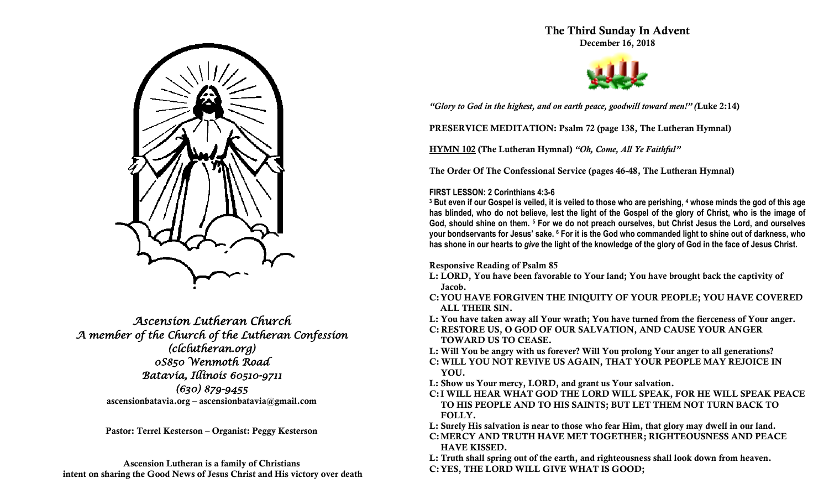

*Ascension Lutheran Church A member of the Church of the Lutheran Confession (clclutheran.org) 0S850 Wenmoth Road Batavia, Illinois 60510-9711 (630) 879-9455*  **ascensionbatavia.org – ascensionbatavia@gmail.com**

**Pastor: Terrel Kesterson – Organist: Peggy Kesterson**

**Ascension Lutheran is a family of Christians intent on sharing the Good News of Jesus Christ and His victory over death** **The Third Sunday In Advent December 16, 2018**



*"Glory to God in the highest, and on earth peace, goodwill toward men!" (***Luke 2:14)**

**PRESERVICE MEDITATION: Psalm 72 (page 138, The Lutheran Hymnal)**

**HYMN 102 (The Lutheran Hymnal)** *"Oh, Come, All Ye Faithful"*

**The Order Of The Confessional Service (pages 46-48, The Lutheran Hymnal)**

# **FIRST LESSON: 2 Corinthians 4:3-6**

**<sup>3</sup> But even if our Gospel is veiled, it is veiled to those who are perishing, <sup>4</sup> whose minds the god of this age has blinded, who do not believe, lest the light of the Gospel of the glory of Christ, who is the image of God, should shine on them. <sup>5</sup> For we do not preach ourselves, but Christ Jesus the Lord, and ourselves your bondservants for Jesus' sake. <sup>6</sup> For it is the God who commanded light to shine out of darkness, who has shone in our hearts to** *give* **the light of the knowledge of the glory of God in the face of Jesus Christ.**

**Responsive Reading of Psalm 85**

- **L: LORD, You have been favorable to Your land; You have brought back the captivity of Jacob.**
- **C:YOU HAVE FORGIVEN THE INIQUITY OF YOUR PEOPLE; YOU HAVE COVERED ALL THEIR SIN.**
- **L: You have taken away all Your wrath; You have turned from the fierceness of Your anger.**
- **C: RESTORE US, O GOD OF OUR SALVATION, AND CAUSE YOUR ANGER TOWARD US TO CEASE.**
- **L: Will You be angry with us forever? Will You prolong Your anger to all generations?**
- **C: WILL YOU NOT REVIVE US AGAIN, THAT YOUR PEOPLE MAY REJOICE IN YOU.**
- **L: Show us Your mercy, LORD, and grant us Your salvation.**
- **C:I WILL HEAR WHAT GOD THE LORD WILL SPEAK, FOR HE WILL SPEAK PEACE TO HIS PEOPLE AND TO HIS SAINTS; BUT LET THEM NOT TURN BACK TO FOLLY.**
- **L: Surely His salvation is near to those who fear Him, that glory may dwell in our land.**
- **C:MERCY AND TRUTH HAVE MET TOGETHER; RIGHTEOUSNESS AND PEACE HAVE KISSED.**
- **L: Truth shall spring out of the earth, and righteousness shall look down from heaven.**
- **C:YES, THE LORD WILL GIVE WHAT IS GOOD;**